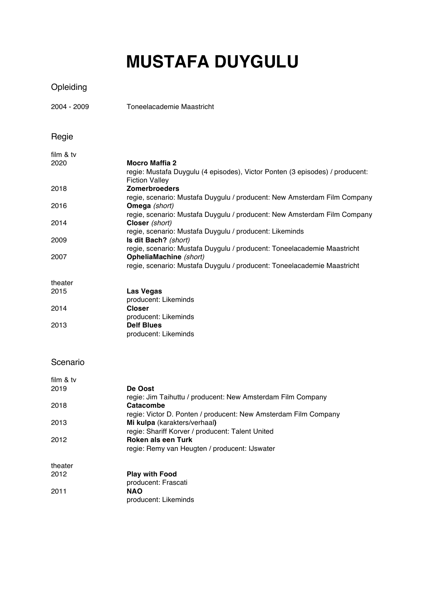# **MUSTAFA DUYGULU**

## Opleiding

2004 - 2009 Toneelacademie Maastricht

### Regie

| film & tv |                                                                              |
|-----------|------------------------------------------------------------------------------|
| 2020      | <b>Mocro Maffia 2</b>                                                        |
|           | regie: Mustafa Duygulu (4 episodes), Victor Ponten (3 episodes) / producent: |
|           | <b>Fiction Valley</b>                                                        |
| 2018      | <b>Zomerbroeders</b>                                                         |
|           | regie, scenario: Mustafa Duygulu / producent: New Amsterdam Film Company     |
| 2016      | <b>Omega</b> (short)                                                         |
|           | regie, scenario: Mustafa Duygulu / producent: New Amsterdam Film Company     |
| 2014      | Closer (short)                                                               |
|           | regie, scenario: Mustafa Duygulu / producent: Likeminds                      |
| 2009      | Is dit Bach? (short)                                                         |
|           | regie, scenario: Mustafa Duygulu / producent: Toneelacademie Maastricht      |
| 2007      | OpheliaMachine (short)                                                       |
|           | regie, scenario: Mustafa Duygulu / producent: Toneelacademie Maastricht      |
| theater   |                                                                              |
| 2015      | <b>Las Vegas</b>                                                             |
|           | producent: Likeminds                                                         |

|      | producent: Likeminds |
|------|----------------------|
| 2014 | <b>Closer</b>        |
|      | producent: Likeminds |
| 2013 | <b>Delf Blues</b>    |
|      | producent: Likeminds |
|      |                      |

#### Scenario

| film & tv |                                                                 |
|-----------|-----------------------------------------------------------------|
| 2019      | De Oost                                                         |
|           | regie: Jim Taihuttu / producent: New Amsterdam Film Company     |
| 2018      | Catacombe                                                       |
|           | regie: Victor D. Ponten / producent: New Amsterdam Film Company |
| 2013      | Mi kulpa (karakters/verhaal)                                    |
|           | regie: Shariff Korver / producent: Talent United                |
| 2012      | Roken als een Turk                                              |
|           | regie: Remy van Heugten / producent: IJswater                   |
| theater   |                                                                 |
| 2012      | <b>Play with Food</b>                                           |
|           | producent: Frascati                                             |
| 2011      | <b>NAO</b>                                                      |
|           | producent: Likeminds                                            |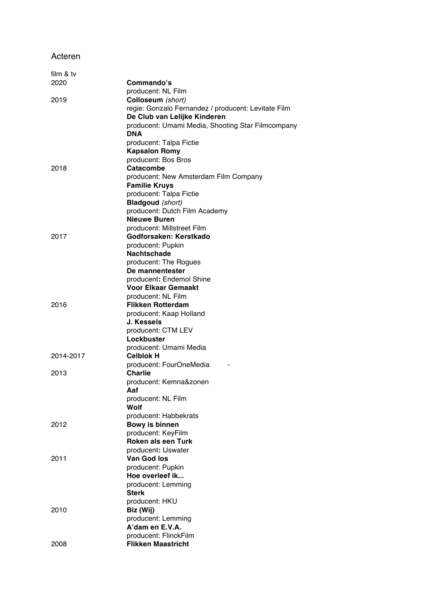#### Acteren

| film & tv |                                                     |
|-----------|-----------------------------------------------------|
| 2020      | Commando's                                          |
|           | producent: NL Film                                  |
| 2019      | Colloseum (short)                                   |
|           | regie: Gonzalo Fernandez / producent: Levitate Film |
|           | De Club van Lelijke Kinderen                        |
|           | producent: Umami Media, Shooting Star Filmcompany   |
|           | DNA                                                 |
|           | producent: Talpa Fictie                             |
|           | <b>Kapsalon Romy</b>                                |
|           | producent: Bos Bros                                 |
| 2018      | Catacombe                                           |
|           | producent: New Amsterdam Film Company               |
|           | <b>Familie Kruys</b><br>producent: Talpa Fictie     |
|           | <b>Bladgoud</b> (short)                             |
|           | producent: Dutch Film Academy                       |
|           | Nieuwe Buren                                        |
|           | producent: Millstreet Film                          |
| 2017      | Godforsaken: Kerstkado                              |
|           | producent: Pupkin                                   |
|           | <b>Nachtschade</b>                                  |
|           | producent: The Rogues                               |
|           | De mannentester                                     |
|           | producent: Endemol Shine                            |
|           | Voor Elkaar Gemaakt                                 |
|           | producent: NL Film                                  |
| 2016      | <b>Flikken Rotterdam</b>                            |
|           | producent: Kaap Holland                             |
|           | J. Kessels                                          |
|           | producent: CTM LEV                                  |
|           | Lockbuster<br>producent: Umami Media                |
| 2014-2017 | <b>Celblok H</b>                                    |
|           | producent: FourOneMedia                             |
| 2013      | <b>Charlie</b>                                      |
|           | producent: Kemna&zonen                              |
|           | Aaf                                                 |
|           | producent: NL Film                                  |
|           | Wolf                                                |
|           | producent: Habbekrats                               |
| 2012      | Bowy is binnen                                      |
|           | producent: KeyFilm                                  |
|           | <b>Roken als een Turk</b>                           |
|           | producent: IJswater                                 |
| 2011      | Van God los                                         |
|           | producent: Pupkin                                   |
|           | Hoe overleef ik<br>producent: Lemming               |
|           | <b>Sterk</b>                                        |
|           | producent: HKU                                      |
| 2010      | Biz (Wij)                                           |
|           | producent: Lemming                                  |
|           | A'dam en E.V.A.                                     |
|           | producent: FlinckFilm                               |
| 2008      | <b>Flikken Maastricht</b>                           |